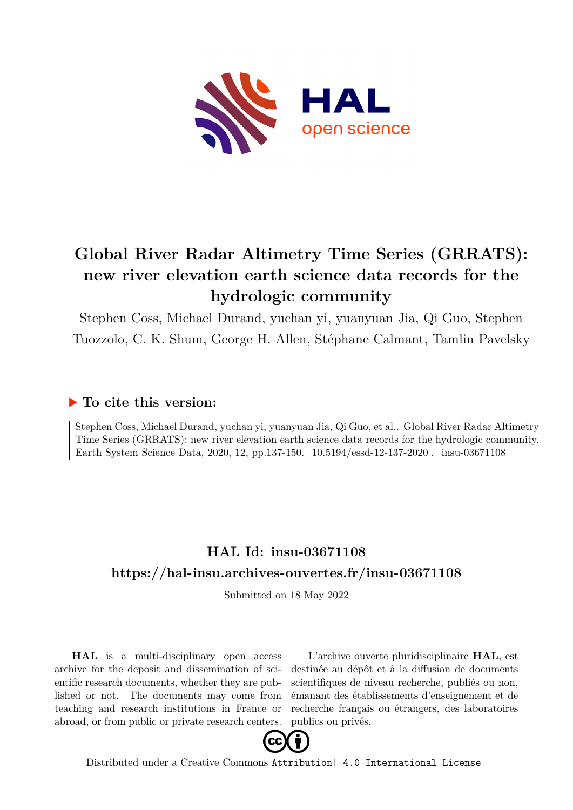

# **Global River Radar Altimetry Time Series (GRRATS): new river elevation earth science data records for the hydrologic community**

Stephen Coss, Michael Durand, yuchan yi, yuanyuan Jia, Qi Guo, Stephen Tuozzolo, C. K. Shum, George H. Allen, Stéphane Calmant, Tamlin Pavelsky

### **To cite this version:**

Stephen Coss, Michael Durand, yuchan yi, yuanyuan Jia, Qi Guo, et al.. Global River Radar Altimetry Time Series (GRRATS): new river elevation earth science data records for the hydrologic community. Earth System Science Data, 2020, 12, pp.137-150.  $10.5194/\text{essd-12-137-2020}$ . insu-03671108

## **HAL Id: insu-03671108 <https://hal-insu.archives-ouvertes.fr/insu-03671108>**

Submitted on 18 May 2022

**HAL** is a multi-disciplinary open access archive for the deposit and dissemination of scientific research documents, whether they are published or not. The documents may come from teaching and research institutions in France or abroad, or from public or private research centers.

L'archive ouverte pluridisciplinaire **HAL**, est destinée au dépôt et à la diffusion de documents scientifiques de niveau recherche, publiés ou non, émanant des établissements d'enseignement et de recherche français ou étrangers, des laboratoires publics ou privés.



Distributed under a Creative Commons [Attribution| 4.0 International License](http://creativecommons.org/licenses/by/4.0/)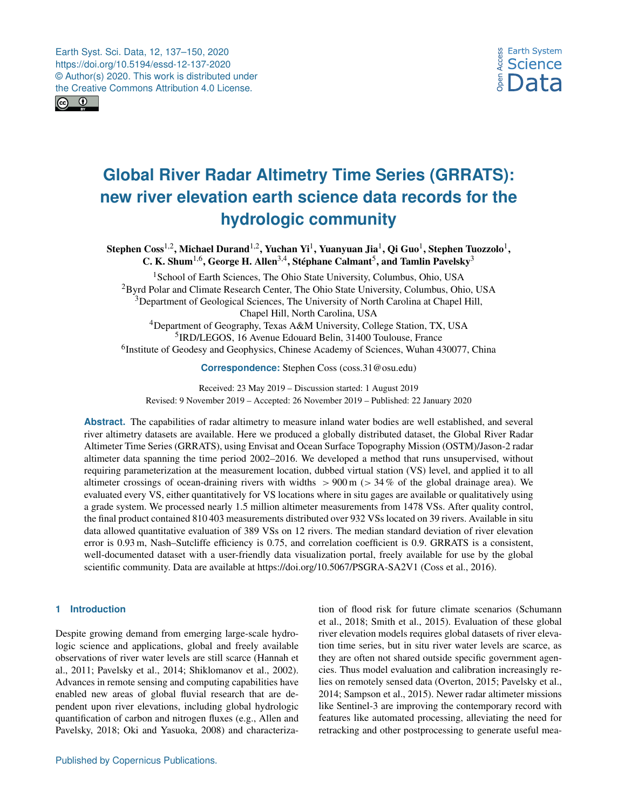Earth Syst. Sci. Data, 12, 137–150, 2020 https://doi.org/10.5194/essd-12-137-2020 © Author(s) 2020. This work is distributed under the Creative Commons Attribution 4.0 License.



## **Global River Radar Altimetry Time Series (GRRATS): new river elevation earth science data records for the hydrologic community**

Stephen Coss<sup>1,2</sup>, Michael Durand<sup>1,2</sup>, Yuchan Yi<sup>1</sup>, Yuanyuan Jia<sup>1</sup>, Qi Guo<sup>1</sup>, Stephen Tuozzolo<sup>1</sup>, C. K. Shum<sup>1,6</sup>, George H. Allen<sup>3,4</sup>, Stéphane Calmant<sup>5</sup>, and Tamlin Pavelsky<sup>3</sup>

<sup>1</sup> School of Earth Sciences, The Ohio State University, Columbus, Ohio, USA <sup>2</sup>Byrd Polar and Climate Research Center, The Ohio State University, Columbus, Ohio, USA <sup>3</sup>Department of Geological Sciences, The University of North Carolina at Chapel Hill, Chapel Hill, North Carolina, USA <sup>4</sup>Department of Geography, Texas A&M University, College Station, TX, USA 5 IRD/LEGOS, 16 Avenue Edouard Belin, 31400 Toulouse, France <sup>6</sup>Institute of Geodesy and Geophysics, Chinese Academy of Sciences, Wuhan 430077, China

**Correspondence:** Stephen Coss (coss.31@osu.edu)

Received: 23 May 2019 – Discussion started: 1 August 2019 Revised: 9 November 2019 – Accepted: 26 November 2019 – Published: 22 January 2020

**Abstract.** The capabilities of radar altimetry to measure inland water bodies are well established, and several river altimetry datasets are available. Here we produced a globally distributed dataset, the Global River Radar Altimeter Time Series (GRRATS), using Envisat and Ocean Surface Topography Mission (OSTM)/Jason-2 radar altimeter data spanning the time period 2002–2016. We developed a method that runs unsupervised, without requiring parameterization at the measurement location, dubbed virtual station (VS) level, and applied it to all altimeter crossings of ocean-draining rivers with widths  $> 900$  m ( $> 34$  % of the global drainage area). We evaluated every VS, either quantitatively for VS locations where in situ gages are available or qualitatively using a grade system. We processed nearly 1.5 million altimeter measurements from 1478 VSs. After quality control, the final product contained 810 403 measurements distributed over 932 VSs located on 39 rivers. Available in situ data allowed quantitative evaluation of 389 VSs on 12 rivers. The median standard deviation of river elevation error is 0.93 m, Nash–Sutcliffe efficiency is 0.75, and correlation coefficient is 0.9. GRRATS is a consistent, well-documented dataset with a user-friendly data visualization portal, freely available for use by the global scientific community. Data are available at https://doi.org[/10.5067/PSGRA-SA2V1](https://doi.org/10.5067/PSGRA-SA2V1) (Coss et al., 2016).

#### **1 Introduction**

Despite growing demand from emerging large-scale hydrologic science and applications, global and freely available observations of river water levels are still scarce (Hannah et al., 2011; Pavelsky et al., 2014; Shiklomanov et al., 2002). Advances in remote sensing and computing capabilities have enabled new areas of global fluvial research that are dependent upon river elevations, including global hydrologic quantification of carbon and nitrogen fluxes (e.g., Allen and Pavelsky, 2018; Oki and Yasuoka, 2008) and characterization of flood risk for future climate scenarios (Schumann et al., 2018; Smith et al., 2015). Evaluation of these global river elevation models requires global datasets of river elevation time series, but in situ river water levels are scarce, as they are often not shared outside specific government agencies. Thus model evaluation and calibration increasingly relies on remotely sensed data (Overton, 2015; Pavelsky et al., 2014; Sampson et al., 2015). Newer radar altimeter missions like Sentinel-3 are improving the contemporary record with features like automated processing, alleviating the need for retracking and other postprocessing to generate useful mea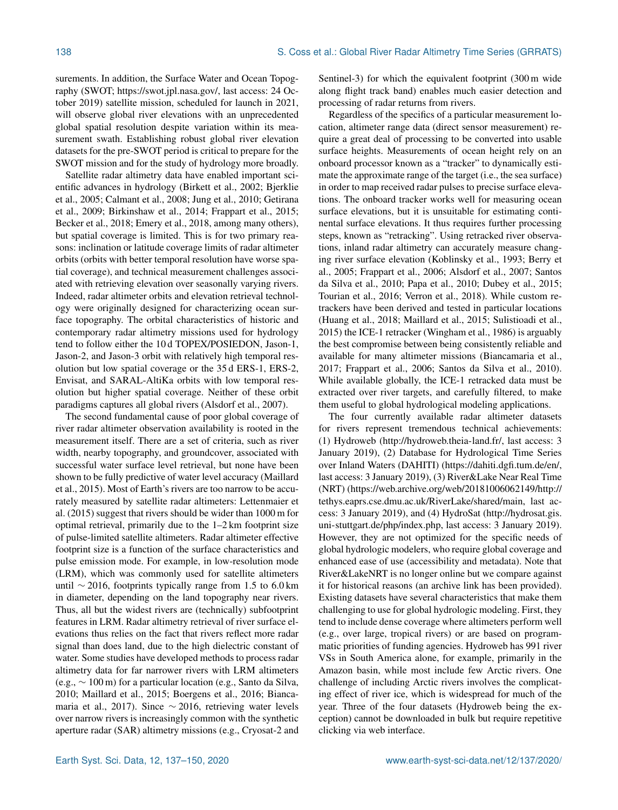surements. In addition, the Surface Water and Ocean Topography (SWOT; [https://swot.jpl.nasa.gov/,](https://swot.jpl.nasa.gov/) last access: 24 October 2019) satellite mission, scheduled for launch in 2021, will observe global river elevations with an unprecedented global spatial resolution despite variation within its measurement swath. Establishing robust global river elevation datasets for the pre-SWOT period is critical to prepare for the SWOT mission and for the study of hydrology more broadly.

Satellite radar altimetry data have enabled important scientific advances in hydrology (Birkett et al., 2002; Bjerklie et al., 2005; Calmant et al., 2008; Jung et al., 2010; Getirana et al., 2009; Birkinshaw et al., 2014; Frappart et al., 2015; Becker et al., 2018; Emery et al., 2018, among many others), but spatial coverage is limited. This is for two primary reasons: inclination or latitude coverage limits of radar altimeter orbits (orbits with better temporal resolution have worse spatial coverage), and technical measurement challenges associated with retrieving elevation over seasonally varying rivers. Indeed, radar altimeter orbits and elevation retrieval technology were originally designed for characterizing ocean surface topography. The orbital characteristics of historic and contemporary radar altimetry missions used for hydrology tend to follow either the 10 d TOPEX/POSIEDON, Jason-1, Jason-2, and Jason-3 orbit with relatively high temporal resolution but low spatial coverage or the 35 d ERS-1, ERS-2, Envisat, and SARAL-AltiKa orbits with low temporal resolution but higher spatial coverage. Neither of these orbit paradigms captures all global rivers (Alsdorf et al., 2007).

The second fundamental cause of poor global coverage of river radar altimeter observation availability is rooted in the measurement itself. There are a set of criteria, such as river width, nearby topography, and groundcover, associated with successful water surface level retrieval, but none have been shown to be fully predictive of water level accuracy (Maillard et al., 2015). Most of Earth's rivers are too narrow to be accurately measured by satellite radar altimeters: Lettenmaier et al. (2015) suggest that rivers should be wider than 1000 m for optimal retrieval, primarily due to the 1–2 km footprint size of pulse-limited satellite altimeters. Radar altimeter effective footprint size is a function of the surface characteristics and pulse emission mode. For example, in low-resolution mode (LRM), which was commonly used for satellite altimeters until  $∼ 2016$ , footprints typically range from 1.5 to 6.0 km in diameter, depending on the land topography near rivers. Thus, all but the widest rivers are (technically) subfootprint features in LRM. Radar altimetry retrieval of river surface elevations thus relies on the fact that rivers reflect more radar signal than does land, due to the high dielectric constant of water. Some studies have developed methods to process radar altimetry data for far narrower rivers with LRM altimeters (e.g., ∼ 100 m) for a particular location (e.g., Santo da Silva, 2010; Maillard et al., 2015; Boergens et al., 2016; Biancamaria et al., 2017). Since ∼ 2016, retrieving water levels over narrow rivers is increasingly common with the synthetic aperture radar (SAR) altimetry missions (e.g., Cryosat-2 and Sentinel-3) for which the equivalent footprint (300 m wide along flight track band) enables much easier detection and processing of radar returns from rivers.

Regardless of the specifics of a particular measurement location, altimeter range data (direct sensor measurement) require a great deal of processing to be converted into usable surface heights. Measurements of ocean height rely on an onboard processor known as a "tracker" to dynamically estimate the approximate range of the target (i.e., the sea surface) in order to map received radar pulses to precise surface elevations. The onboard tracker works well for measuring ocean surface elevations, but it is unsuitable for estimating continental surface elevations. It thus requires further processing steps, known as "retracking". Using retracked river observations, inland radar altimetry can accurately measure changing river surface elevation (Koblinsky et al., 1993; Berry et al., 2005; Frappart et al., 2006; Alsdorf et al., 2007; Santos da Silva et al., 2010; Papa et al., 2010; Dubey et al., 2015; Tourian et al., 2016; Verron et al., 2018). While custom retrackers have been derived and tested in particular locations (Huang et al., 2018; Maillard et al., 2015; Sulistioadi et al., 2015) the ICE-1 retracker (Wingham et al., 1986) is arguably the best compromise between being consistently reliable and available for many altimeter missions (Biancamaria et al., 2017; Frappart et al., 2006; Santos da Silva et al., 2010). While available globally, the ICE-1 retracked data must be extracted over river targets, and carefully filtered, to make them useful to global hydrological modeling applications.

The four currently available radar altimeter datasets for rivers represent tremendous technical achievements: (1) Hydroweb [\(http://hydroweb.theia-land.fr/,](http://hydroweb.theia-land.fr/) last access: 3 January 2019), (2) Database for Hydrological Time Series over Inland Waters (DAHITI) [\(https://dahiti.dgfi.tum.de/en/,](https://dahiti.dgfi.tum.de/en/) last access: 3 January 2019), (3) River&Lake Near Real Time (NRT) [\(https://web.archive.org/web/20181006062149/http://](https://web.archive.org/web/20181006062149/http://tethys.eaprs.cse.dmu.ac.uk/RiverLake/shared/main) [tethys.eaprs.cse.dmu.ac.uk/RiverLake/shared/main,](https://web.archive.org/web/20181006062149/http://tethys.eaprs.cse.dmu.ac.uk/RiverLake/shared/main) last access: 3 January 2019), and (4) HydroSat [\(http://hydrosat.gis.](http://hydrosat.gis.uni-stuttgart.de/php/index.php) [uni-stuttgart.de/php/index.php,](http://hydrosat.gis.uni-stuttgart.de/php/index.php) last access: 3 January 2019). However, they are not optimized for the specific needs of global hydrologic modelers, who require global coverage and enhanced ease of use (accessibility and metadata). Note that River&LakeNRT is no longer online but we compare against it for historical reasons (an archive link has been provided). Existing datasets have several characteristics that make them challenging to use for global hydrologic modeling. First, they tend to include dense coverage where altimeters perform well (e.g., over large, tropical rivers) or are based on programmatic priorities of funding agencies. Hydroweb has 991 river VSs in South America alone, for example, primarily in the Amazon basin, while most include few Arctic rivers. One challenge of including Arctic rivers involves the complicating effect of river ice, which is widespread for much of the year. Three of the four datasets (Hydroweb being the exception) cannot be downloaded in bulk but require repetitive clicking via web interface.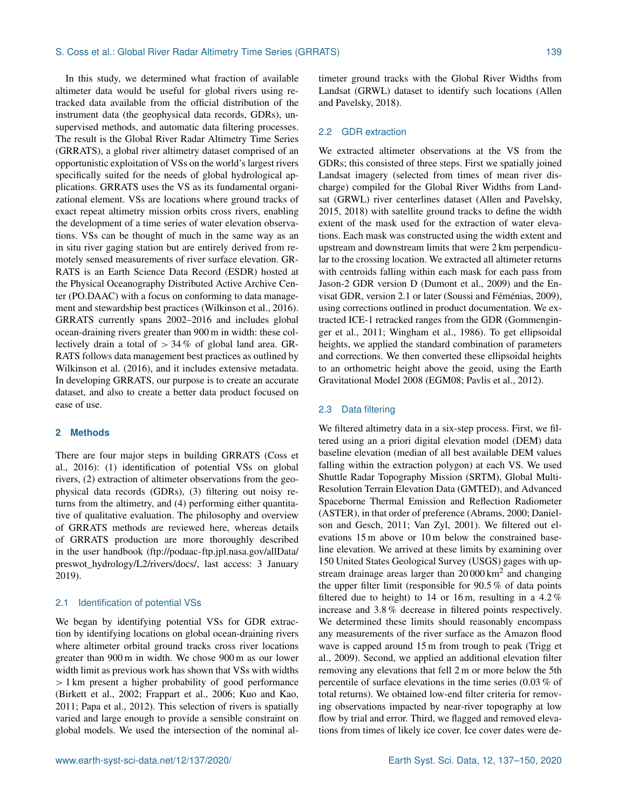In this study, we determined what fraction of available altimeter data would be useful for global rivers using retracked data available from the official distribution of the instrument data (the geophysical data records, GDRs), unsupervised methods, and automatic data filtering processes. The result is the Global River Radar Altimetry Time Series (GRRATS), a global river altimetry dataset comprised of an opportunistic exploitation of VSs on the world's largest rivers specifically suited for the needs of global hydrological applications. GRRATS uses the VS as its fundamental organizational element. VSs are locations where ground tracks of exact repeat altimetry mission orbits cross rivers, enabling the development of a time series of water elevation observations. VSs can be thought of much in the same way as an in situ river gaging station but are entirely derived from remotely sensed measurements of river surface elevation. GR-RATS is an Earth Science Data Record (ESDR) hosted at the Physical Oceanography Distributed Active Archive Center (PO.DAAC) with a focus on conforming to data management and stewardship best practices (Wilkinson et al., 2016). GRRATS currently spans 2002–2016 and includes global ocean-draining rivers greater than 900 m in width: these collectively drain a total of > 34 % of global land area. GR-RATS follows data management best practices as outlined by Wilkinson et al. (2016), and it includes extensive metadata. In developing GRRATS, our purpose is to create an accurate dataset, and also to create a better data product focused on ease of use.

#### **2 Methods**

There are four major steps in building GRRATS (Coss et al., 2016): (1) identification of potential VSs on global rivers, (2) extraction of altimeter observations from the geophysical data records (GDRs), (3) filtering out noisy returns from the altimetry, and (4) performing either quantitative of qualitative evaluation. The philosophy and overview of GRRATS methods are reviewed here, whereas details of GRRATS production are more thoroughly described in the user handbook [\(ftp://podaac-ftp.jpl.nasa.gov/allData/](ftp://podaac-ftp.jpl.nasa.gov/allData/preswot_hydrology/L2/rivers/docs/) [preswot\\_hydrology/L2/rivers/docs/,](ftp://podaac-ftp.jpl.nasa.gov/allData/preswot_hydrology/L2/rivers/docs/) last access: 3 January 2019).

#### 2.1 Identification of potential VSs

We began by identifying potential VSs for GDR extraction by identifying locations on global ocean-draining rivers where altimeter orbital ground tracks cross river locations greater than 900 m in width. We chose 900 m as our lower width limit as previous work has shown that VSs with widths > 1 km present a higher probability of good performance (Birkett et al., 2002; Frappart et al., 2006; Kuo and Kao, 2011; Papa et al., 2012). This selection of rivers is spatially varied and large enough to provide a sensible constraint on global models. We used the intersection of the nominal altimeter ground tracks with the Global River Widths from Landsat (GRWL) dataset to identify such locations (Allen and Pavelsky, 2018).

#### 2.2 GDR extraction

We extracted altimeter observations at the VS from the GDRs; this consisted of three steps. First we spatially joined Landsat imagery (selected from times of mean river discharge) compiled for the Global River Widths from Landsat (GRWL) river centerlines dataset (Allen and Pavelsky, 2015, 2018) with satellite ground tracks to define the width extent of the mask used for the extraction of water elevations. Each mask was constructed using the width extent and upstream and downstream limits that were 2 km perpendicular to the crossing location. We extracted all altimeter returns with centroids falling within each mask for each pass from Jason-2 GDR version D (Dumont et al., 2009) and the Envisat GDR, version 2.1 or later (Soussi and Féménias, 2009), using corrections outlined in product documentation. We extracted ICE-1 retracked ranges from the GDR (Gommenginger et al., 2011; Wingham et al., 1986). To get ellipsoidal heights, we applied the standard combination of parameters and corrections. We then converted these ellipsoidal heights to an orthometric height above the geoid, using the Earth Gravitational Model 2008 (EGM08; Pavlis et al., 2012).

#### 2.3 Data filtering

We filtered altimetry data in a six-step process. First, we filtered using an a priori digital elevation model (DEM) data baseline elevation (median of all best available DEM values falling within the extraction polygon) at each VS. We used Shuttle Radar Topography Mission (SRTM), Global Multi-Resolution Terrain Elevation Data (GMTED), and Advanced Spaceborne Thermal Emission and Reflection Radiometer (ASTER), in that order of preference (Abrams, 2000; Danielson and Gesch, 2011; Van Zyl, 2001). We filtered out elevations 15 m above or 10 m below the constrained baseline elevation. We arrived at these limits by examining over 150 United States Geological Survey (USGS) gages with upstream drainage areas larger than  $20000 \text{ km}^2$  and changing the upper filter limit (responsible for 90.5 % of data points filtered due to height) to 14 or 16 m, resulting in a 4.2  $%$ increase and 3.8 % decrease in filtered points respectively. We determined these limits should reasonably encompass any measurements of the river surface as the Amazon flood wave is capped around 15 m from trough to peak (Trigg et al., 2009). Second, we applied an additional elevation filter removing any elevations that fell 2 m or more below the 5th percentile of surface elevations in the time series (0.03 % of total returns). We obtained low-end filter criteria for removing observations impacted by near-river topography at low flow by trial and error. Third, we flagged and removed elevations from times of likely ice cover. Ice cover dates were de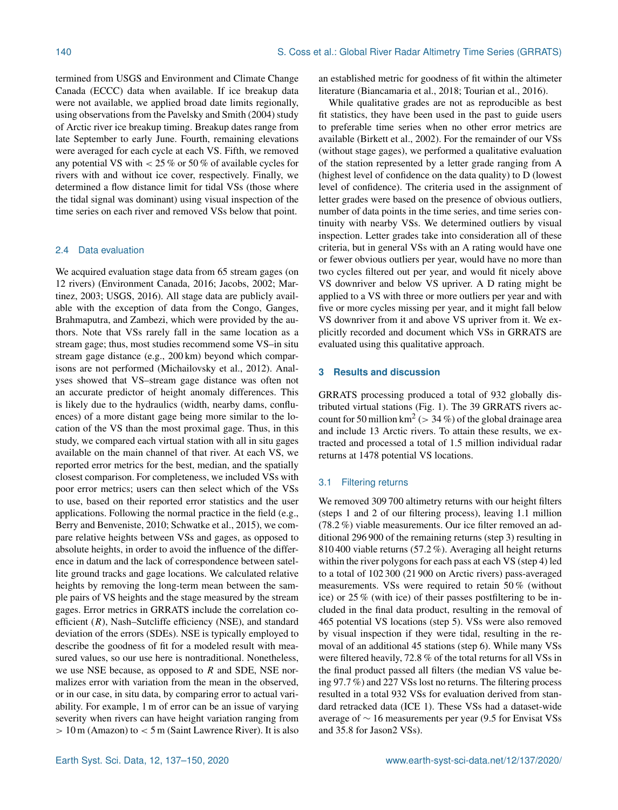termined from USGS and Environment and Climate Change Canada (ECCC) data when available. If ice breakup data were not available, we applied broad date limits regionally, using observations from the Pavelsky and Smith (2004) study of Arctic river ice breakup timing. Breakup dates range from late September to early June. Fourth, remaining elevations were averaged for each cycle at each VS. Fifth, we removed any potential VS with < 25 % or 50 % of available cycles for rivers with and without ice cover, respectively. Finally, we determined a flow distance limit for tidal VSs (those where the tidal signal was dominant) using visual inspection of the time series on each river and removed VSs below that point.

#### 2.4 Data evaluation

We acquired evaluation stage data from 65 stream gages (on 12 rivers) (Environment Canada, 2016; Jacobs, 2002; Martinez, 2003; USGS, 2016). All stage data are publicly available with the exception of data from the Congo, Ganges, Brahmaputra, and Zambezi, which were provided by the authors. Note that VSs rarely fall in the same location as a stream gage; thus, most studies recommend some VS–in situ stream gage distance (e.g., 200 km) beyond which comparisons are not performed (Michailovsky et al., 2012). Analyses showed that VS–stream gage distance was often not an accurate predictor of height anomaly differences. This is likely due to the hydraulics (width, nearby dams, confluences) of a more distant gage being more similar to the location of the VS than the most proximal gage. Thus, in this study, we compared each virtual station with all in situ gages available on the main channel of that river. At each VS, we reported error metrics for the best, median, and the spatially closest comparison. For completeness, we included VSs with poor error metrics; users can then select which of the VSs to use, based on their reported error statistics and the user applications. Following the normal practice in the field (e.g., Berry and Benveniste, 2010; Schwatke et al., 2015), we compare relative heights between VSs and gages, as opposed to absolute heights, in order to avoid the influence of the difference in datum and the lack of correspondence between satellite ground tracks and gage locations. We calculated relative heights by removing the long-term mean between the sample pairs of VS heights and the stage measured by the stream gages. Error metrics in GRRATS include the correlation coefficient  $(R)$ , Nash–Sutcliffe efficiency (NSE), and standard deviation of the errors (SDEs). NSE is typically employed to describe the goodness of fit for a modeled result with measured values, so our use here is nontraditional. Nonetheless, we use NSE because, as opposed to R and SDE, NSE normalizes error with variation from the mean in the observed, or in our case, in situ data, by comparing error to actual variability. For example, 1 m of error can be an issue of varying severity when rivers can have height variation ranging from  $> 10$  m (Amazon) to  $< 5$  m (Saint Lawrence River). It is also

an established metric for goodness of fit within the altimeter literature (Biancamaria et al., 2018; Tourian et al., 2016).

While qualitative grades are not as reproducible as best fit statistics, they have been used in the past to guide users to preferable time series when no other error metrics are available (Birkett et al., 2002). For the remainder of our VSs (without stage gages), we performed a qualitative evaluation of the station represented by a letter grade ranging from A (highest level of confidence on the data quality) to D (lowest level of confidence). The criteria used in the assignment of letter grades were based on the presence of obvious outliers, number of data points in the time series, and time series continuity with nearby VSs. We determined outliers by visual inspection. Letter grades take into consideration all of these criteria, but in general VSs with an A rating would have one or fewer obvious outliers per year, would have no more than two cycles filtered out per year, and would fit nicely above VS downriver and below VS upriver. A D rating might be applied to a VS with three or more outliers per year and with five or more cycles missing per year, and it might fall below VS downriver from it and above VS upriver from it. We explicitly recorded and document which VSs in GRRATS are evaluated using this qualitative approach.

#### **3 Results and discussion**

GRRATS processing produced a total of 932 globally distributed virtual stations (Fig. 1). The 39 GRRATS rivers account for 50 million  $km^2$  ( $>$  34 %) of the global drainage area and include 13 Arctic rivers. To attain these results, we extracted and processed a total of 1.5 million individual radar returns at 1478 potential VS locations.

#### 3.1 Filtering returns

We removed 309 700 altimetry returns with our height filters (steps 1 and 2 of our filtering process), leaving 1.1 million (78.2 %) viable measurements. Our ice filter removed an additional 296 900 of the remaining returns (step 3) resulting in 810 400 viable returns (57.2 %). Averaging all height returns within the river polygons for each pass at each VS (step 4) led to a total of 102 300 (21 900 on Arctic rivers) pass-averaged measurements. VSs were required to retain 50 % (without ice) or 25 % (with ice) of their passes postfiltering to be included in the final data product, resulting in the removal of 465 potential VS locations (step 5). VSs were also removed by visual inspection if they were tidal, resulting in the removal of an additional 45 stations (step 6). While many VSs were filtered heavily, 72.8 % of the total returns for all VSs in the final product passed all filters (the median VS value being 97.7 %) and 227 VSs lost no returns. The filtering process resulted in a total 932 VSs for evaluation derived from standard retracked data (ICE 1). These VSs had a dataset-wide average of ∼ 16 measurements per year (9.5 for Envisat VSs and 35.8 for Jason2 VSs).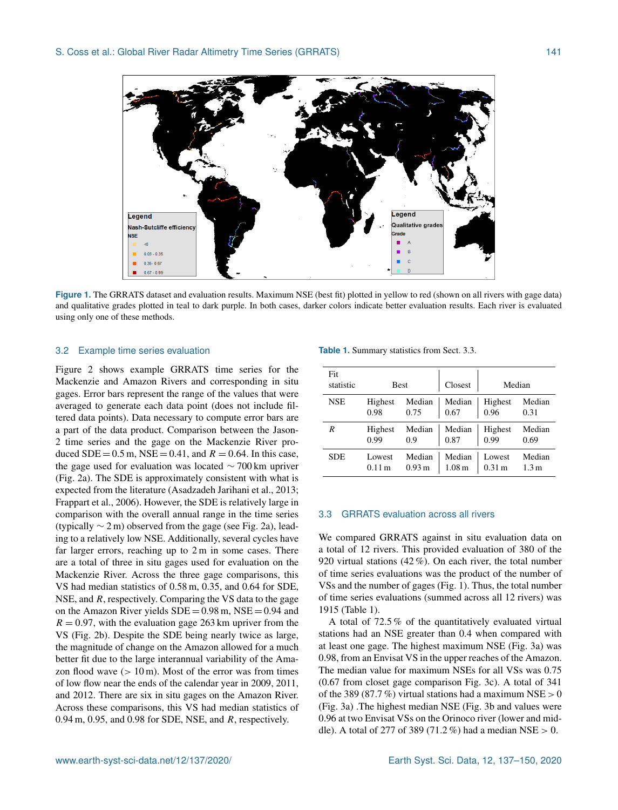

**Figure 1.** The GRRATS dataset and evaluation results. Maximum NSE (best fit) plotted in yellow to red (shown on all rivers with gage data) and qualitative grades plotted in teal to dark purple. In both cases, darker colors indicate better evaluation results. Each river is evaluated using only one of these methods.

#### 3.2 Example time series evaluation

Figure 2 shows example GRRATS time series for the Mackenzie and Amazon Rivers and corresponding in situ gages. Error bars represent the range of the values that were averaged to generate each data point (does not include filtered data points). Data necessary to compute error bars are a part of the data product. Comparison between the Jason-2 time series and the gage on the Mackenzie River produced  $SDE = 0.5$  m,  $NSE = 0.41$ , and  $R = 0.64$ . In this case, the gage used for evaluation was located ∼ 700 km upriver (Fig. 2a). The SDE is approximately consistent with what is expected from the literature (Asadzadeh Jarihani et al., 2013; Frappart et al., 2006). However, the SDE is relatively large in comparison with the overall annual range in the time series (typically  $\sim$  2 m) observed from the gage (see Fig. 2a), leading to a relatively low NSE. Additionally, several cycles have far larger errors, reaching up to 2 m in some cases. There are a total of three in situ gages used for evaluation on the Mackenzie River. Across the three gage comparisons, this VS had median statistics of 0.58 m, 0.35, and 0.64 for SDE, NSE, and  $R$ , respectively. Comparing the VS data to the gage on the Amazon River yields  $SDE = 0.98$  m,  $NSE = 0.94$  and  $R = 0.97$ , with the evaluation gage 263 km upriver from the VS (Fig. 2b). Despite the SDE being nearly twice as large, the magnitude of change on the Amazon allowed for a much better fit due to the large interannual variability of the Amazon flood wave  $(10 \text{ m})$ . Most of the error was from times of low flow near the ends of the calendar year in 2009, 2011, and 2012. There are six in situ gages on the Amazon River. Across these comparisons, this VS had median statistics of 0.94 m, 0.95, and 0.98 for SDE, NSE, and  $R$ , respectively.

| <b>Table 1.</b> Summary statistics from Sect. 3.3. |  |  |  |  |
|----------------------------------------------------|--|--|--|--|
|----------------------------------------------------|--|--|--|--|

| Fit<br>statistic | <b>Best</b> |        | Closest           |                  | Median           |
|------------------|-------------|--------|-------------------|------------------|------------------|
| <b>NSE</b>       | Highest     | Median | Median            | Highest          | Median           |
|                  | 0.98        | 0.75   | 0.67              | 0.96             | 0.31             |
| R                | Highest     | Median | Median            | Highest          | Median           |
|                  | 0.99        | 0.9    | 0.87              | 0.99             | 0.69             |
| SDE              | Lowest      | Median | Median            | Lowest           | Median           |
|                  | 0.11 m      | 0.93 m | 1.08 <sub>m</sub> | $0.31 \text{ m}$ | 1.3 <sub>m</sub> |

#### 3.3 GRRATS evaluation across all rivers

We compared GRRATS against in situ evaluation data on a total of 12 rivers. This provided evaluation of 380 of the 920 virtual stations (42 %). On each river, the total number of time series evaluations was the product of the number of VSs and the number of gages (Fig. 1). Thus, the total number of time series evaluations (summed across all 12 rivers) was 1915 (Table 1).

A total of 72.5 % of the quantitatively evaluated virtual stations had an NSE greater than 0.4 when compared with at least one gage. The highest maximum NSE (Fig. 3a) was 0.98, from an Envisat VS in the upper reaches of the Amazon. The median value for maximum NSEs for all VSs was 0.75 (0.67 from closet gage comparison Fig. 3c). A total of 341 of the 389 (87.7%) virtual stations had a maximum NSE  $> 0$ (Fig. 3a) .The highest median NSE (Fig. 3b and values were 0.96 at two Envisat VSs on the Orinoco river (lower and middle). A total of 277 of 389 (71.2 %) had a median NSE  $> 0$ .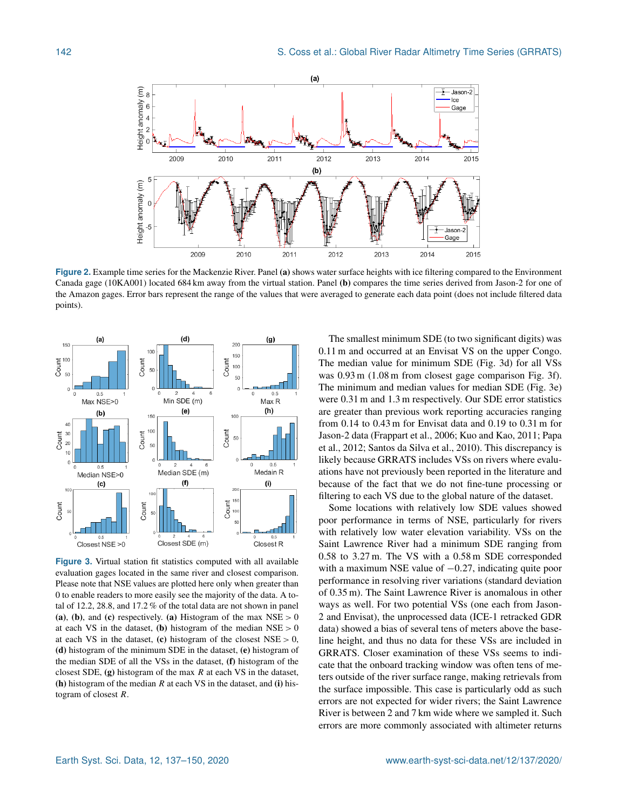

**Figure 2.** Example time series for the Mackenzie River. Panel (a) shows water surface heights with ice filtering compared to the Environment Canada gage (10KA001) located 684 km away from the virtual station. Panel (b) compares the time series derived from Jason-2 for one of the Amazon gages. Error bars represent the range of the values that were averaged to generate each data point (does not include filtered data points).



**Figure 3.** Virtual station fit statistics computed with all available evaluation gages located in the same river and closest comparison. Please note that NSE values are plotted here only when greater than 0 to enable readers to more easily see the majority of the data. A total of 12.2, 28.8, and 17.2 % of the total data are not shown in panel (a), (b), and (c) respectively. (a) Histogram of the max  $NSE > 0$ at each VS in the dataset, (b) histogram of the median  $NSE > 0$ at each VS in the dataset, (c) histogram of the closest  $NSE > 0$ , (d) histogram of the minimum SDE in the dataset, (e) histogram of the median SDE of all the VSs in the dataset, (f) histogram of the closest SDE,  $(g)$  histogram of the max R at each VS in the dataset, (h) histogram of the median  $R$  at each VS in the dataset, and (i) histogram of closest R.

The smallest minimum SDE (to two significant digits) was 0.11 m and occurred at an Envisat VS on the upper Congo. The median value for minimum SDE (Fig. 3d) for all VSs was 0.93 m (1.08 m from closest gage comparison Fig. 3f). The minimum and median values for median SDE (Fig. 3e) were 0.31 m and 1.3 m respectively. Our SDE error statistics are greater than previous work reporting accuracies ranging from 0.14 to 0.43 m for Envisat data and 0.19 to 0.31 m for Jason-2 data (Frappart et al., 2006; Kuo and Kao, 2011; Papa et al., 2012; Santos da Silva et al., 2010). This discrepancy is likely because GRRATS includes VSs on rivers where evaluations have not previously been reported in the literature and because of the fact that we do not fine-tune processing or filtering to each VS due to the global nature of the dataset.

Some locations with relatively low SDE values showed poor performance in terms of NSE, particularly for rivers with relatively low water elevation variability. VSs on the Saint Lawrence River had a minimum SDE ranging from 0.58 to 3.27 m. The VS with a 0.58 m SDE corresponded with a maximum NSE value of  $-0.27$ , indicating quite poor performance in resolving river variations (standard deviation of 0.35 m). The Saint Lawrence River is anomalous in other ways as well. For two potential VSs (one each from Jason-2 and Envisat), the unprocessed data (ICE-1 retracked GDR data) showed a bias of several tens of meters above the baseline height, and thus no data for these VSs are included in GRRATS. Closer examination of these VSs seems to indicate that the onboard tracking window was often tens of meters outside of the river surface range, making retrievals from the surface impossible. This case is particularly odd as such errors are not expected for wider rivers; the Saint Lawrence River is between 2 and 7 km wide where we sampled it. Such errors are more commonly associated with altimeter returns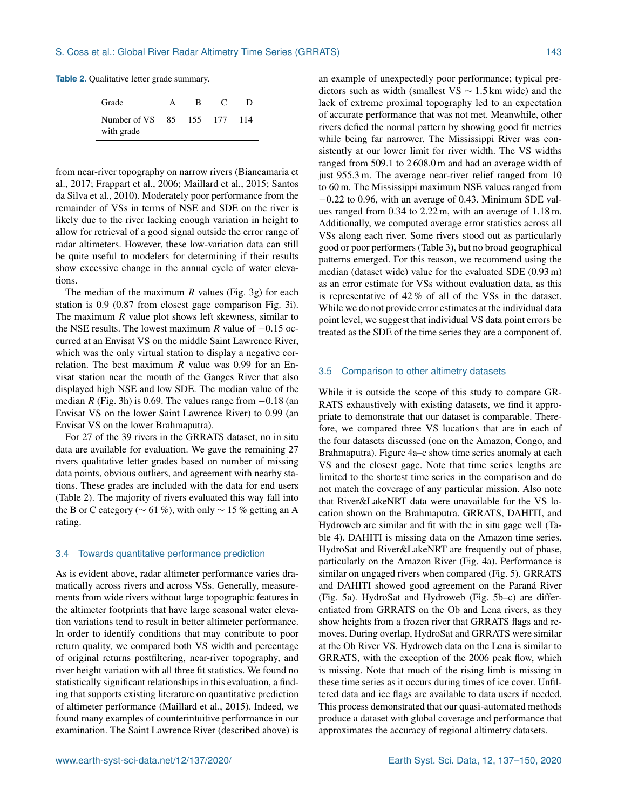**Table 2.** Qualitative letter grade summary.

| Grade                         | в   |       |     |
|-------------------------------|-----|-------|-----|
| Number of VS 85<br>with grade | 155 | - 177 | 114 |

from near-river topography on narrow rivers (Biancamaria et al., 2017; Frappart et al., 2006; Maillard et al., 2015; Santos da Silva et al., 2010). Moderately poor performance from the remainder of VSs in terms of NSE and SDE on the river is likely due to the river lacking enough variation in height to allow for retrieval of a good signal outside the error range of radar altimeters. However, these low-variation data can still be quite useful to modelers for determining if their results show excessive change in the annual cycle of water elevations.

The median of the maximum  $R$  values (Fig. 3g) for each station is 0.9 (0.87 from closest gage comparison Fig. 3i). The maximum  *value plot shows left skewness, similar to* the NSE results. The lowest maximum R value of  $-0.15$  occurred at an Envisat VS on the middle Saint Lawrence River, which was the only virtual station to display a negative correlation. The best maximum  $R$  value was 0.99 for an Envisat station near the mouth of the Ganges River that also displayed high NSE and low SDE. The median value of the median R (Fig. 3h) is 0.69. The values range from  $-0.18$  (an Envisat VS on the lower Saint Lawrence River) to 0.99 (an Envisat VS on the lower Brahmaputra).

For 27 of the 39 rivers in the GRRATS dataset, no in situ data are available for evaluation. We gave the remaining 27 rivers qualitative letter grades based on number of missing data points, obvious outliers, and agreement with nearby stations. These grades are included with the data for end users (Table 2). The majority of rivers evaluated this way fall into the B or C category ( $\sim$  61 %), with only  $\sim$  15 % getting an A rating.

#### 3.4 Towards quantitative performance prediction

As is evident above, radar altimeter performance varies dramatically across rivers and across VSs. Generally, measurements from wide rivers without large topographic features in the altimeter footprints that have large seasonal water elevation variations tend to result in better altimeter performance. In order to identify conditions that may contribute to poor return quality, we compared both VS width and percentage of original returns postfiltering, near-river topography, and river height variation with all three fit statistics. We found no statistically significant relationships in this evaluation, a finding that supports existing literature on quantitative prediction of altimeter performance (Maillard et al., 2015). Indeed, we found many examples of counterintuitive performance in our examination. The Saint Lawrence River (described above) is

an example of unexpectedly poor performance; typical predictors such as width (smallest VS  $\sim$  1.5 km wide) and the lack of extreme proximal topography led to an expectation of accurate performance that was not met. Meanwhile, other rivers defied the normal pattern by showing good fit metrics while being far narrower. The Mississippi River was consistently at our lower limit for river width. The VS widths ranged from 509.1 to 2 608.0 m and had an average width of just 955.3 m. The average near-river relief ranged from 10 to 60 m. The Mississippi maximum NSE values ranged from −0.22 to 0.96, with an average of 0.43. Minimum SDE values ranged from 0.34 to 2.22 m, with an average of 1.18 m. Additionally, we computed average error statistics across all VSs along each river. Some rivers stood out as particularly good or poor performers (Table 3), but no broad geographical patterns emerged. For this reason, we recommend using the median (dataset wide) value for the evaluated SDE (0.93 m) as an error estimate for VSs without evaluation data, as this is representative of 42 % of all of the VSs in the dataset. While we do not provide error estimates at the individual data point level, we suggest that individual VS data point errors be treated as the SDE of the time series they are a component of.

#### 3.5 Comparison to other altimetry datasets

While it is outside the scope of this study to compare GR-RATS exhaustively with existing datasets, we find it appropriate to demonstrate that our dataset is comparable. Therefore, we compared three VS locations that are in each of the four datasets discussed (one on the Amazon, Congo, and Brahmaputra). Figure 4a–c show time series anomaly at each VS and the closest gage. Note that time series lengths are limited to the shortest time series in the comparison and do not match the coverage of any particular mission. Also note that River&LakeNRT data were unavailable for the VS location shown on the Brahmaputra. GRRATS, DAHITI, and Hydroweb are similar and fit with the in situ gage well (Table 4). DAHITI is missing data on the Amazon time series. HydroSat and River&LakeNRT are frequently out of phase, particularly on the Amazon River (Fig. 4a). Performance is similar on ungaged rivers when compared (Fig. 5). GRRATS and DAHITI showed good agreement on the Paraná River (Fig. 5a). HydroSat and Hydroweb (Fig. 5b–c) are differentiated from GRRATS on the Ob and Lena rivers, as they show heights from a frozen river that GRRATS flags and removes. During overlap, HydroSat and GRRATS were similar at the Ob River VS. Hydroweb data on the Lena is similar to GRRATS, with the exception of the 2006 peak flow, which is missing. Note that much of the rising limb is missing in these time series as it occurs during times of ice cover. Unfiltered data and ice flags are available to data users if needed. This process demonstrated that our quasi-automated methods produce a dataset with global coverage and performance that approximates the accuracy of regional altimetry datasets.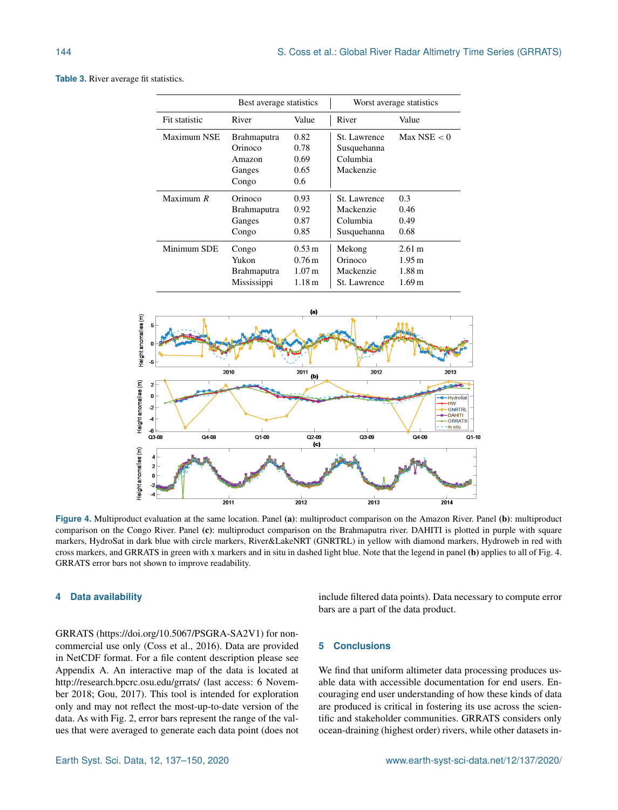|               | Best average statistics |                     | Worst average statistics |                   |
|---------------|-------------------------|---------------------|--------------------------|-------------------|
| Fit statistic | River                   | Value               | River                    | Value             |
| Maximum NSE   | <b>Brahmaputra</b>      | 0.82                | St. Lawrence             | Max NSE $< 0$     |
|               | Orinoco                 | 0.78                | Susquehanna              |                   |
|               | Amazon                  | 0.69                | Columbia                 |                   |
|               | Ganges                  | 0.65                | Mackenzie                |                   |
|               | Congo                   | 0.6                 |                          |                   |
| Maximum $R$   | Orinoco                 | 0.93                | St. Lawrence             | 0.3               |
|               | <b>Brahmaputra</b>      | 0.92                | Mackenzie                | 0.46              |
|               | Ganges                  | 0.87                | Columbia                 | 0.49              |
|               | Congo                   | 0.85                | Susquehanna              | 0.68              |
| Minimum SDE   | Congo                   | $0.53 \text{ m}$    | Mekong                   | 2.61 m            |
|               | Yukon                   | $0.76 \,\mathrm{m}$ | Orinoco                  | 1.95 m            |
|               | Brahmaputra             | 1.07 <sub>m</sub>   | Mackenzie                | 1.88 m            |
|               | Mississippi             | 1.18 m              | St. Lawrence             | 1.69 <sub>m</sub> |

**Table 3.** River average fit statistics.



**Figure 4.** Multiproduct evaluation at the same location. Panel (a): multiproduct comparison on the Amazon River. Panel (b): multiproduct comparison on the Congo River. Panel (c): multiproduct comparison on the Brahmaputra river. DAHITI is plotted in purple with square markers, HydroSat in dark blue with circle markers, River&LakeNRT (GNRTRL) in yellow with diamond markers, Hydroweb in red with cross markers, and GRRATS in green with x markers and in situ in dashed light blue. Note that the legend in panel (b) applies to all of Fig. 4. GRRATS error bars not shown to improve readability.

#### **4 Data availability**

GRRATS (https://doi.org[/10.5067/PSGRA-SA2V1\)](https://doi.org/10.5067/PSGRA-SA2V1) for noncommercial use only (Coss et al., 2016). Data are provided in NetCDF format. For a file content description please see Appendix A. An interactive map of the data is located at <http://research.bpcrc.osu.edu/grrats/> (last access: 6 November 2018; Gou, 2017). This tool is intended for exploration only and may not reflect the most-up-to-date version of the data. As with Fig. 2, error bars represent the range of the values that were averaged to generate each data point (does not

include filtered data points). Data necessary to compute error bars are a part of the data product.

#### **5 Conclusions**

We find that uniform altimeter data processing produces usable data with accessible documentation for end users. Encouraging end user understanding of how these kinds of data are produced is critical in fostering its use across the scientific and stakeholder communities. GRRATS considers only ocean-draining (highest order) rivers, while other datasets in-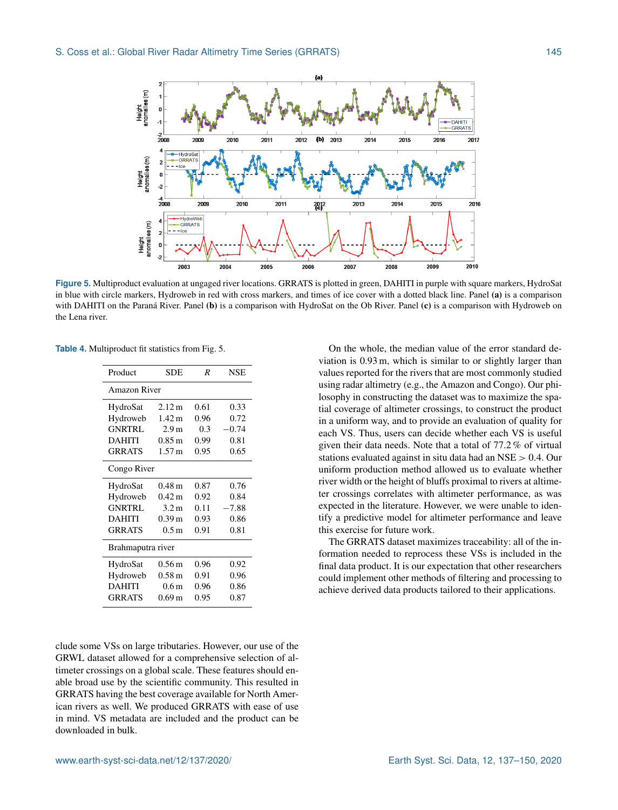

**Figure 5.** Multiproduct evaluation at ungaged river locations. GRRATS is plotted in green, DAHITI in purple with square markers, HydroSat in blue with circle markers, Hydroweb in red with cross markers, and times of ice cover with a dotted black line. Panel (a) is a comparison with DAHITI on the Paraná River. Panel (b) is a comparison with HydroSat on the Ob River. Panel (c) is a comparison with Hydroweb on the Lena river.

**Table 4.** Multiproduct fit statistics from Fig. 5.

| Product           | SDE                 | R    | NSE     |  |
|-------------------|---------------------|------|---------|--|
| Amazon River      |                     |      |         |  |
| HydroSat          | 2.12 m              | 0.61 | 0.33    |  |
| Hydroweb          | 1.42 <sub>m</sub>   | 0.96 | 0.72    |  |
| <b>GNRTRL</b>     | 2.9 <sub>m</sub>    | 0.3  | $-0.74$ |  |
| <b>DAHITI</b>     | $0.85 \,\mathrm{m}$ | 0.99 | 0.81    |  |
| <b>GRRATS</b>     | 1.57 <sub>m</sub>   | 0.95 | 0.65    |  |
| Congo River       |                     |      |         |  |
| HydroSat          | $0.48\,\mathrm{m}$  | 0.87 | 0.76    |  |
| Hydroweb          | $0.42 \,\mathrm{m}$ | 0.92 | 0.84    |  |
| <b>GNRTRL</b>     | 3.2 <sub>m</sub>    | 0.11 | $-7.88$ |  |
| <b>DAHITI</b>     | 0.39 <sub>m</sub>   | 0.93 | 0.86    |  |
| <b>GRRATS</b>     | 0.5 <sub>m</sub>    | 0.91 | 0.81    |  |
| Brahmaputra river |                     |      |         |  |
| HydroSat          | $0.56 \,\mathrm{m}$ | 0.96 | 0.92    |  |
| Hydroweb          | $0.58 \text{ m}$    | 0.91 | 0.96    |  |
| <b>DAHITI</b>     | 0.6 <sub>m</sub>    | 0.96 | 0.86    |  |
| <b>GRRATS</b>     | 0.69 <sub>m</sub>   | 0.95 | 0.87    |  |

clude some VSs on large tributaries. However, our use of the GRWL dataset allowed for a comprehensive selection of altimeter crossings on a global scale. These features should enable broad use by the scientific community. This resulted in GRRATS having the best coverage available for North American rivers as well. We produced GRRATS with ease of use in mind. VS metadata are included and the product can be downloaded in bulk.

On the whole, the median value of the error standard deviation is 0.93 m, which is similar to or slightly larger than values reported for the rivers that are most commonly studied using radar altimetry (e.g., the Amazon and Congo). Our philosophy in constructing the dataset was to maximize the spatial coverage of altimeter crossings, to construct the product in a uniform way, and to provide an evaluation of quality for each VS. Thus, users can decide whether each VS is useful given their data needs. Note that a total of 77.2 % of virtual stations evaluated against in situ data had an NSE > 0.4. Our uniform production method allowed us to evaluate whether river width or the height of bluffs proximal to rivers at altimeter crossings correlates with altimeter performance, as was expected in the literature. However, we were unable to identify a predictive model for altimeter performance and leave this exercise for future work.

The GRRATS dataset maximizes traceability: all of the information needed to reprocess these VSs is included in the final data product. It is our expectation that other researchers could implement other methods of filtering and processing to achieve derived data products tailored to their applications.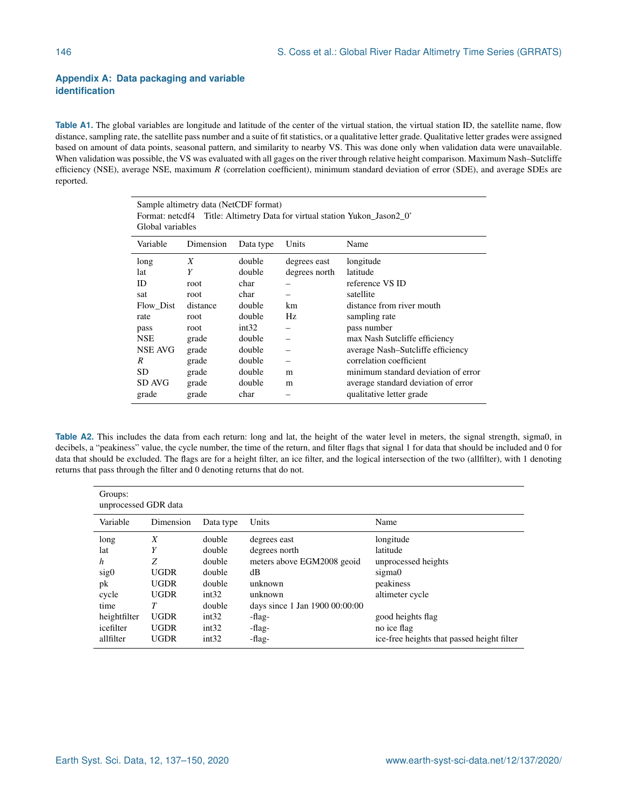#### **Appendix A: Data packaging and variable identification**

Table A1. The global variables are longitude and latitude of the center of the virtual station, the virtual station ID, the satellite name, flow distance, sampling rate, the satellite pass number and a suite of fit statistics, or a qualitative letter grade. Qualitative letter grades were assigned based on amount of data points, seasonal pattern, and similarity to nearby VS. This was done only when validation data were unavailable. When validation was possible, the VS was evaluated with all gages on the river through relative height comparison. Maximum Nash–Sutcliffe efficiency (NSE), average NSE, maximum  $R$  (correlation coefficient), minimum standard deviation of error (SDE), and average SDEs are reported.

| Sample altimetry data (NetCDF format)<br>Format: netcdf4 Title: Altimetry Data for virtual station Yukon Jason2 0'<br>Global variables |           |           |               |                                     |  |  |
|----------------------------------------------------------------------------------------------------------------------------------------|-----------|-----------|---------------|-------------------------------------|--|--|
| Variable                                                                                                                               | Dimension | Data type | Units         | Name                                |  |  |
| long                                                                                                                                   | X         | double    | degrees east  | longitude                           |  |  |
| lat                                                                                                                                    | Y         | double    | degrees north | latitude                            |  |  |
| ID                                                                                                                                     | root      | char      |               | reference VS ID                     |  |  |
| sat                                                                                                                                    | root      | char      |               | satellite                           |  |  |
| Flow Dist                                                                                                                              | distance  | double    | km.           | distance from river mouth           |  |  |
| rate                                                                                                                                   | root      | double    | Hz            | sampling rate                       |  |  |
| pass                                                                                                                                   | root      | int32     |               | pass number                         |  |  |
| <b>NSE</b>                                                                                                                             | grade     | double    |               | max Nash Sutcliffe efficiency       |  |  |
| NSE AVG                                                                                                                                | grade     | double    |               | average Nash-Sutcliffe efficiency   |  |  |
| R                                                                                                                                      | grade     | double    |               | correlation coefficient             |  |  |
| SD                                                                                                                                     | grade     | double    | m             | minimum standard deviation of error |  |  |
| SD AVG                                                                                                                                 | grade     | double    | m             | average standard deviation of error |  |  |
| grade                                                                                                                                  | grade     | char      |               | qualitative letter grade            |  |  |

**Table A2.** This includes the data from each return: long and lat, the height of the water level in meters, the signal strength, sigma0, in decibels, a "peakiness" value, the cycle number, the time of the return, and filter flags that signal 1 for data that should be included and 0 for data that should be excluded. The flags are for a height filter, an ice filter, and the logical intersection of the two (allfilter), with 1 denoting returns that pass through the filter and 0 denoting returns that do not.

| Groups:<br>unprocessed GDR data |             |           |                                |                                            |  |  |  |
|---------------------------------|-------------|-----------|--------------------------------|--------------------------------------------|--|--|--|
| Variable                        | Dimension   | Data type | Units                          | Name                                       |  |  |  |
| long                            | X           | double    | degrees east                   | longitude                                  |  |  |  |
| lat                             | Y           | double    | degrees north                  | latitude                                   |  |  |  |
| h                               | Z           | double    | meters above EGM2008 geoid     | unprocessed heights                        |  |  |  |
| sig <sub>0</sub>                | <b>UGDR</b> | double    | dВ                             | sigma0                                     |  |  |  |
| pk                              | <b>UGDR</b> | double    | unknown                        | peakiness                                  |  |  |  |
| cycle                           | <b>UGDR</b> | int32     | unknown                        | altimeter cycle                            |  |  |  |
| time                            | T           | double    | days since 1 Jan 1900 00:00:00 |                                            |  |  |  |
| heightfilter                    | <b>UGDR</b> | int32     | -flag-                         | good heights flag                          |  |  |  |
| icefilter                       | <b>UGDR</b> | int32     | -flag-                         | no ice flag                                |  |  |  |
| allfilter                       | <b>UGDR</b> | int32     | -flag-                         | ice-free heights that passed height filter |  |  |  |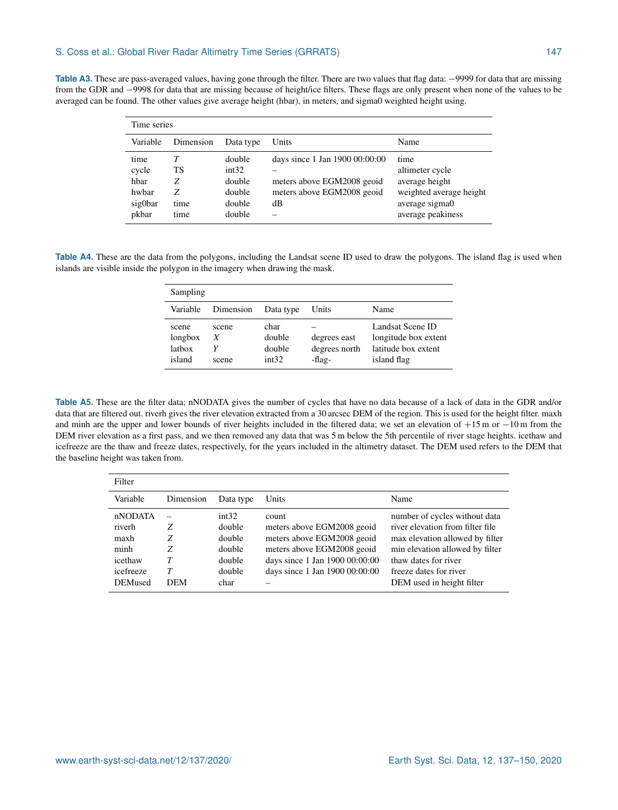| Table A3. These are pass-averaged values, having gone through the filter. There are two values that flag data: -9999 for data that are missing |
|------------------------------------------------------------------------------------------------------------------------------------------------|
| from the GDR and -9998 for data that are missing because of height/ice filters. These flags are only present when none of the values to be     |
| averaged can be found. The other values give average height (hbar), in meters, and sigma0 weighted height using.                               |

| Time series                                        |                                   |                                                         |                                                                                                  |                                                                                                             |  |
|----------------------------------------------------|-----------------------------------|---------------------------------------------------------|--------------------------------------------------------------------------------------------------|-------------------------------------------------------------------------------------------------------------|--|
| Variable                                           | Dimension                         | Data type                                               | Units                                                                                            | Name                                                                                                        |  |
| time<br>cycle<br>hbar<br>hwbar<br>sig0bar<br>pkbar | Т<br>TS<br>Ζ<br>Ζ<br>time<br>time | double<br>int32<br>double<br>double<br>double<br>double | days since 1 Jan 1900 00:00:00<br>meters above EGM2008 geoid<br>meters above EGM2008 geoid<br>dB | time<br>altimeter cycle<br>average height<br>weighted average height<br>average sigma0<br>average peakiness |  |

**Table A4.** These are the data from the polygons, including the Landsat scene ID used to draw the polygons. The island flag is used when islands are visible inside the polygon in the imagery when drawing the mask.

| Sampling                             |                     |                                   |                                         |                                                                                |
|--------------------------------------|---------------------|-----------------------------------|-----------------------------------------|--------------------------------------------------------------------------------|
| Variable                             | Dimension           | Data type                         | Units                                   | Name                                                                           |
| scene<br>longbox<br>latbox<br>island | scene<br>X<br>scene | char<br>double<br>double<br>int32 | degrees east<br>degrees north<br>-flag- | Landsat Scene ID<br>longitude box extent<br>latitude box extent<br>island flag |

**Table A5.** These are the filter data; nNODATA gives the number of cycles that have no data because of a lack of data in the GDR and/or data that are filtered out. riverh gives the river elevation extracted from a 30 arcsec DEM of the region. This is used for the height filter. maxh and minh are the upper and lower bounds of river heights included in the filtered data; we set an elevation of +15 m or −10 m from the DEM river elevation as a first pass, and we then removed any data that was 5 m below the 5th percentile of river stage heights. icethaw and icefreeze are the thaw and freeze dates, respectively, for the years included in the altimetry dataset. The DEM used refers to the DEM that the baseline height was taken from.

| Filter                                                                      |                           |                                                                 |                                                                                                                                                                     |                                                                                                                                                                                                                        |
|-----------------------------------------------------------------------------|---------------------------|-----------------------------------------------------------------|---------------------------------------------------------------------------------------------------------------------------------------------------------------------|------------------------------------------------------------------------------------------------------------------------------------------------------------------------------------------------------------------------|
| Variable                                                                    | Dimension                 | Data type                                                       | Units                                                                                                                                                               | Name                                                                                                                                                                                                                   |
| nNODATA<br>riverh<br>maxh<br>minh<br>icethaw<br>icefreeze<br><b>DEMused</b> | Ζ<br>Ζ<br>Ζ<br><b>DEM</b> | int32<br>double<br>double<br>double<br>double<br>double<br>char | count<br>meters above EGM2008 geoid<br>meters above EGM2008 geoid<br>meters above EGM2008 geoid<br>days since 1 Jan 1900 00:00:00<br>days since 1 Jan 1900 00:00:00 | number of cycles without data<br>river elevation from filter file<br>max elevation allowed by filter<br>min elevation allowed by filter<br>thaw dates for river<br>freeze dates for river<br>DEM used in height filter |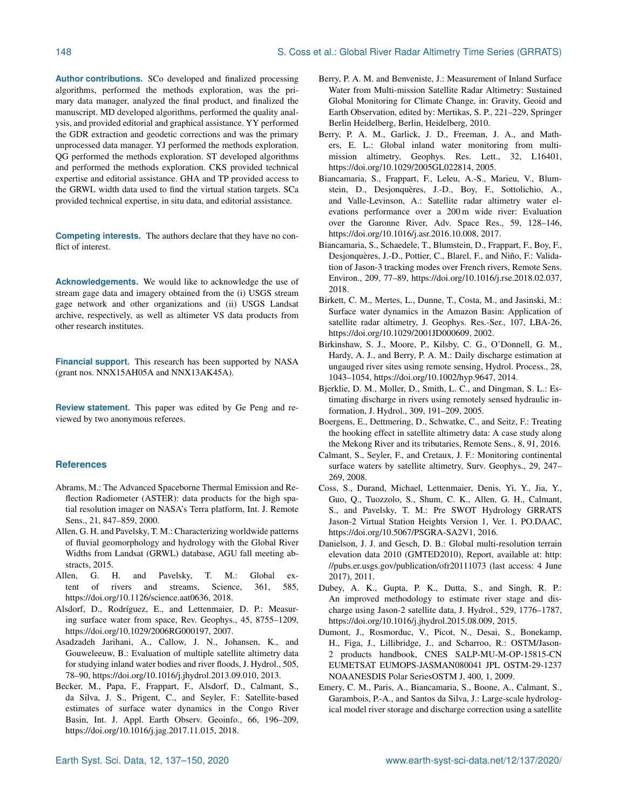**Author contributions.** SCo developed and finalized processing algorithms, performed the methods exploration, was the primary data manager, analyzed the final product, and finalized the manuscript. MD developed algorithms, performed the quality analysis, and provided editorial and graphical assistance. YY performed the GDR extraction and geodetic corrections and was the primary unprocessed data manager. YJ performed the methods exploration. QG performed the methods exploration. ST developed algorithms and performed the methods exploration. CKS provided technical expertise and editorial assistance. GHA and TP provided access to the GRWL width data used to find the virtual station targets. SCa provided technical expertise, in situ data, and editorial assistance.

**Competing interests.** The authors declare that they have no conflict of interest.

**Acknowledgements.** We would like to acknowledge the use of stream gage data and imagery obtained from the (i) USGS stream gage network and other organizations and (ii) USGS Landsat archive, respectively, as well as altimeter VS data products from other research institutes.

**Financial support.** This research has been supported by NASA (grant nos. NNX15AH05A and NNX13AK45A).

**Review statement.** This paper was edited by Ge Peng and reviewed by two anonymous referees.

#### **References**

- Abrams, M.: The Advanced Spaceborne Thermal Emission and Reflection Radiometer (ASTER): data products for the high spatial resolution imager on NASA's Terra platform, Int. J. Remote Sens., 21, 847–859, 2000.
- Allen, G. H. and Pavelsky, T. M.: Characterizing worldwide patterns of fluvial geomorphology and hydrology with the Global River Widths from Landsat (GRWL) database, AGU fall meeting abstracts, 2015.
- Allen, G. H. and Pavelsky, T. M.: Global extent of rivers and streams, Science, 361, 585, https://doi.org[/10.1126/science.aat0636,](https://doi.org/10.1126/science.aat0636) 2018.
- Alsdorf, D., Rodríguez, E., and Lettenmaier, D. P.: Measuring surface water from space, Rev. Geophys., 45, 8755–1209, https://doi.org[/10.1029/2006RG000197,](https://doi.org/10.1029/2006RG000197) 2007.
- Asadzadeh Jarihani, A., Callow, J. N., Johansen, K., and Gouweleeuw, B.: Evaluation of multiple satellite altimetry data for studying inland water bodies and river floods, J. Hydrol., 505, 78–90, https://doi.org[/10.1016/j.jhydrol.2013.09.010,](https://doi.org/10.1016/j.jhydrol.2013.09.010) 2013.
- Becker, M., Papa, F., Frappart, F., Alsdorf, D., Calmant, S., da Silva, J. S., Prigent, C., and Seyler, F.: Satellite-based estimates of surface water dynamics in the Congo River Basin, Int. J. Appl. Earth Observ. Geoinfo., 66, 196–209, https://doi.org[/10.1016/j.jag.2017.11.015,](https://doi.org/10.1016/j.jag.2017.11.015) 2018.
- Berry, P. A. M. and Benveniste, J.: Measurement of Inland Surface Water from Multi-mission Satellite Radar Altimetry: Sustained Global Monitoring for Climate Change, in: Gravity, Geoid and Earth Observation, edited by: Mertikas, S. P., 221–229, Springer Berlin Heidelberg, Berlin, Heidelberg, 2010.
- Berry, P. A. M., Garlick, J. D., Freeman, J. A., and Mathers, E. L.: Global inland water monitoring from multimission altimetry, Geophys. Res. Lett., 32, L16401, https://doi.org[/10.1029/2005GL022814,](https://doi.org/10.1029/2005GL022814) 2005.
- Biancamaria, S., Frappart, F., Leleu, A.-S., Marieu, V., Blumstein, D., Desjonquères, J.-D., Boy, F., Sottolichio, A., and Valle-Levinson, A.: Satellite radar altimetry water elevations performance over a 200 m wide river: Evaluation over the Garonne River, Adv. Space Res., 59, 128–146, https://doi.org[/10.1016/j.asr.2016.10.008,](https://doi.org/10.1016/j.asr.2016.10.008) 2017.
- Biancamaria, S., Schaedele, T., Blumstein, D., Frappart, F., Boy, F., Desjonquères, J.-D., Pottier, C., Blarel, F., and Niño, F.: Validation of Jason-3 tracking modes over French rivers, Remote Sens. Environ., 209, 77–89, https://doi.org[/10.1016/j.rse.2018.02.037,](https://doi.org/10.1016/j.rse.2018.02.037) 2018.
- Birkett, C. M., Mertes, L., Dunne, T., Costa, M., and Jasinski, M.: Surface water dynamics in the Amazon Basin: Application of satellite radar altimetry, J. Geophys. Res.-Ser., 107, LBA-26, https://doi.org[/10.1029/2001JD000609,](https://doi.org/10.1029/2001JD000609) 2002.
- Birkinshaw, S. J., Moore, P., Kilsby, C. G., O'Donnell, G. M., Hardy, A. J., and Berry, P. A. M.: Daily discharge estimation at ungauged river sites using remote sensing, Hydrol. Process., 28, 1043–1054, https://doi.org[/10.1002/hyp.9647,](https://doi.org/10.1002/hyp.9647) 2014.
- Bjerklie, D. M., Moller, D., Smith, L. C., and Dingman, S. L.: Estimating discharge in rivers using remotely sensed hydraulic information, J. Hydrol., 309, 191–209, 2005.
- Boergens, E., Dettmering, D., Schwatke, C., and Seitz, F.: Treating the hooking effect in satellite altimetry data: A case study along the Mekong River and its tributaries, Remote Sens., 8, 91, 2016.
- Calmant, S., Seyler, F., and Cretaux, J. F.: Monitoring continental surface waters by satellite altimetry, Surv. Geophys., 29, 247– 269, 2008.
- Coss, S., Durand, Michael, Lettenmaier, Denis, Yi, Y., Jia, Y., Guo, Q., Tuozzolo, S., Shum, C. K., Allen, G. H., Calmant, S., and Pavelsky, T. M.: Pre SWOT Hydrology GRRATS Jason-2 Virtual Station Heights Version 1, Ver. 1. PO.DAAC, https://doi.org[/10.5067/PSGRA-SA2V1,](https://doi.org/10.5067/PSGRA-SA2V1) 2016.
- Danielson, J. J. and Gesch, D. B.: Global multi-resolution terrain elevation data 2010 (GMTED2010), Report, available at: [http:](http://pubs.er.usgs.gov/publication/ofr20111073) [//pubs.er.usgs.gov/publication/ofr20111073](http://pubs.er.usgs.gov/publication/ofr20111073) (last access: 4 June 2017), 2011.
- Dubey, A. K., Gupta, P. K., Dutta, S., and Singh, R. P.: An improved methodology to estimate river stage and discharge using Jason-2 satellite data, J. Hydrol., 529, 1776–1787, https://doi.org[/10.1016/j.jhydrol.2015.08.009,](https://doi.org/10.1016/j.jhydrol.2015.08.009) 2015.
- Dumont, J., Rosmorduc, V., Picot, N., Desai, S., Bonekamp, H., Figa, J., Lillibridge, J., and Scharroo, R.: OSTM/Jason-2 products handbook, CNES SALP-MU-M-OP-15815-CN EUMETSAT EUMOPS-JASMAN080041 JPL OSTM-29-1237 NOAANESDIS Polar SeriesOSTM J, 400, 1, 2009.
- Emery, C. M., Paris, A., Biancamaria, S., Boone, A., Calmant, S., Garambois, P.-A., and Santos da Silva, J.: Large-scale hydrological model river storage and discharge correction using a satellite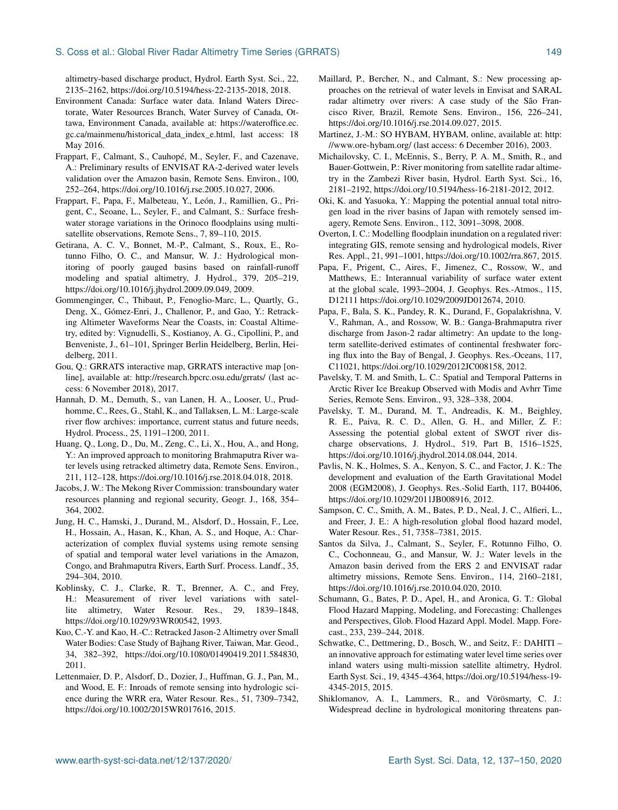#### S. Coss et al.: Global River Radar Altimetry Time Series (GRRATS) 149

altimetry-based discharge product, Hydrol. Earth Syst. Sci., 22, 2135–2162, https://doi.org[/10.5194/hess-22-2135-2018,](https://doi.org/10.5194/hess-22-2135-2018) 2018.

- Environment Canada: Surface water data. Inland Waters Directorate, Water Resources Branch, Water Survey of Canada, Ottawa, Environment Canada, available at: [https://wateroffice.ec.](https://wateroffice.ec.gc.ca/mainmenu/historical_data_index_e.html) [gc.ca/mainmenu/historical\\_data\\_index\\_e.html,](https://wateroffice.ec.gc.ca/mainmenu/historical_data_index_e.html) last access: 18 May 2016.
- Frappart, F., Calmant, S., Cauhopé, M., Seyler, F., and Cazenave, A.: Preliminary results of ENVISAT RA-2-derived water levels validation over the Amazon basin, Remote Sens. Environ., 100, 252–264, https://doi.org[/10.1016/j.rse.2005.10.027,](https://doi.org/10.1016/j.rse.2005.10.027) 2006.
- Frappart, F., Papa, F., Malbeteau, Y., León, J., Ramillien, G., Prigent, C., Seoane, L., Seyler, F., and Calmant, S.: Surface freshwater storage variations in the Orinoco floodplains using multisatellite observations, Remote Sens., 7, 89–110, 2015.
- Getirana, A. C. V., Bonnet, M.-P., Calmant, S., Roux, E., Rotunno Filho, O. C., and Mansur, W. J.: Hydrological monitoring of poorly gauged basins based on rainfall-runoff modeling and spatial altimetry, J. Hydrol., 379, 205–219, https://doi.org[/10.1016/j.jhydrol.2009.09.049,](https://doi.org/10.1016/j.jhydrol.2009.09.049) 2009.
- Gommenginger, C., Thibaut, P., Fenoglio-Marc, L., Quartly, G., Deng, X., Gómez-Enri, J., Challenor, P., and Gao, Y.: Retracking Altimeter Waveforms Near the Coasts, in: Coastal Altimetry, edited by: Vignudelli, S., Kostianoy, A. G., Cipollini, P., and Benveniste, J., 61–101, Springer Berlin Heidelberg, Berlin, Heidelberg, 2011.
- Gou, Q.: GRRATS interactive map, GRRATS interactive map [online], available at: <http://research.bpcrc.osu.edu/grrats/> (last access: 6 November 2018), 2017.
- Hannah, D. M., Demuth, S., van Lanen, H. A., Looser, U., Prudhomme, C., Rees, G., Stahl, K., and Tallaksen, L. M.: Large-scale river flow archives: importance, current status and future needs, Hydrol. Process., 25, 1191–1200, 2011.
- Huang, Q., Long, D., Du, M., Zeng, C., Li, X., Hou, A., and Hong, Y.: An improved approach to monitoring Brahmaputra River water levels using retracked altimetry data, Remote Sens. Environ., 211, 112–128, https://doi.org[/10.1016/j.rse.2018.04.018,](https://doi.org/10.1016/j.rse.2018.04.018) 2018.
- Jacobs, J. W.: The Mekong River Commission: transboundary water resources planning and regional security, Geogr. J., 168, 354– 364, 2002.
- Jung, H. C., Hamski, J., Durand, M., Alsdorf, D., Hossain, F., Lee, H., Hossain, A., Hasan, K., Khan, A. S., and Hoque, A.: Characterization of complex fluvial systems using remote sensing of spatial and temporal water level variations in the Amazon, Congo, and Brahmaputra Rivers, Earth Surf. Process. Landf., 35, 294–304, 2010.
- Koblinsky, C. J., Clarke, R. T., Brenner, A. C., and Frey, H.: Measurement of river level variations with satellite altimetry, Water Resour. Res., 29, 1839-1848, https://doi.org[/10.1029/93WR00542,](https://doi.org/10.1029/93WR00542) 1993.
- Kuo, C.-Y. and Kao, H.-C.: Retracked Jason-2 Altimetry over Small Water Bodies: Case Study of Bajhang River, Taiwan, Mar. Geod., 34, 382–392, https://doi.org[/10.1080/01490419.2011.584830,](https://doi.org/10.1080/01490419.2011.584830) 2011.
- Lettenmaier, D. P., Alsdorf, D., Dozier, J., Huffman, G. J., Pan, M., and Wood, E. F.: Inroads of remote sensing into hydrologic science during the WRR era, Water Resour. Res., 51, 7309–7342, https://doi.org[/10.1002/2015WR017616,](https://doi.org/10.1002/2015WR017616) 2015.
- Maillard, P., Bercher, N., and Calmant, S.: New processing approaches on the retrieval of water levels in Envisat and SARAL radar altimetry over rivers: A case study of the São Francisco River, Brazil, Remote Sens. Environ., 156, 226–241, https://doi.org[/10.1016/j.rse.2014.09.027,](https://doi.org/10.1016/j.rse.2014.09.027) 2015.
- Martinez, J.-M.: SO HYBAM, HYBAM, online, available at: [http:](http://www.ore-hybam.org/) [//www.ore-hybam.org/](http://www.ore-hybam.org/) (last access: 6 December 2016), 2003.
- Michailovsky, C. I., McEnnis, S., Berry, P. A. M., Smith, R., and Bauer-Gottwein, P.: River monitoring from satellite radar altimetry in the Zambezi River basin, Hydrol. Earth Syst. Sci., 16, 2181–2192, https://doi.org[/10.5194/hess-16-2181-2012,](https://doi.org/10.5194/hess-16-2181-2012) 2012.
- Oki, K. and Yasuoka, Y.: Mapping the potential annual total nitrogen load in the river basins of Japan with remotely sensed imagery, Remote Sens. Environ., 112, 3091–3098, 2008.
- Overton, I. C.: Modelling floodplain inundation on a regulated river: integrating GIS, remote sensing and hydrological models, River Res. Appl., 21, 991–1001, https://doi.org[/10.1002/rra.867,](https://doi.org/10.1002/rra.867) 2015.
- Papa, F., Prigent, C., Aires, F., Jimenez, C., Rossow, W., and Matthews, E.: Interannual variability of surface water extent at the global scale, 1993–2004, J. Geophys. Res.-Atmos., 115, D12111 https://doi.org[/10.1029/2009JD012674,](https://doi.org/10.1029/2009JD012674) 2010.
- Papa, F., Bala, S. K., Pandey, R. K., Durand, F., Gopalakrishna, V. V., Rahman, A., and Rossow, W. B.: Ganga-Brahmaputra river discharge from Jason-2 radar altimetry: An update to the longterm satellite-derived estimates of continental freshwater forcing flux into the Bay of Bengal, J. Geophys. Res.-Oceans, 117, C11021, https://doi.org[/10.1029/2012JC008158,](https://doi.org/10.1029/2012JC008158) 2012.
- Pavelsky, T. M. and Smith, L. C.: Spatial and Temporal Patterns in Arctic River Ice Breakup Observed with Modis and Avhrr Time Series, Remote Sens. Environ., 93, 328–338, 2004.
- Pavelsky, T. M., Durand, M. T., Andreadis, K. M., Beighley, R. E., Paiva, R. C. D., Allen, G. H., and Miller, Z. F.: Assessing the potential global extent of SWOT river discharge observations, J. Hydrol., 519, Part B, 1516–1525, https://doi.org[/10.1016/j.jhydrol.2014.08.044,](https://doi.org/10.1016/j.jhydrol.2014.08.044) 2014.
- Pavlis, N. K., Holmes, S. A., Kenyon, S. C., and Factor, J. K.: The development and evaluation of the Earth Gravitational Model 2008 (EGM2008), J. Geophys. Res.-Solid Earth, 117, B04406, https://doi.org[/10.1029/2011JB008916,](https://doi.org/10.1029/2011JB008916) 2012.
- Sampson, C. C., Smith, A. M., Bates, P. D., Neal, J. C., Alfieri, L., and Freer, J. E.: A high-resolution global flood hazard model, Water Resour. Res., 51, 7358–7381, 2015.
- Santos da Silva, J., Calmant, S., Seyler, F., Rotunno Filho, O. C., Cochonneau, G., and Mansur, W. J.: Water levels in the Amazon basin derived from the ERS 2 and ENVISAT radar altimetry missions, Remote Sens. Environ., 114, 2160–2181, https://doi.org[/10.1016/j.rse.2010.04.020,](https://doi.org/10.1016/j.rse.2010.04.020) 2010.
- Schumann, G., Bates, P. D., Apel, H., and Aronica, G. T.: Global Flood Hazard Mapping, Modeling, and Forecasting: Challenges and Perspectives, Glob. Flood Hazard Appl. Model. Mapp. Forecast., 233, 239–244, 2018.
- Schwatke, C., Dettmering, D., Bosch, W., and Seitz, F.: DAHITI an innovative approach for estimating water level time series over inland waters using multi-mission satellite altimetry, Hydrol. Earth Syst. Sci., 19, 4345–4364, https://doi.org[/10.5194/hess-19-](https://doi.org/10.5194/hess-19-4345-2015) [4345-2015,](https://doi.org/10.5194/hess-19-4345-2015) 2015.
- Shiklomanov, A. I., Lammers, R., and Vörösmarty, C. J.: Widespread decline in hydrological monitoring threatens pan-